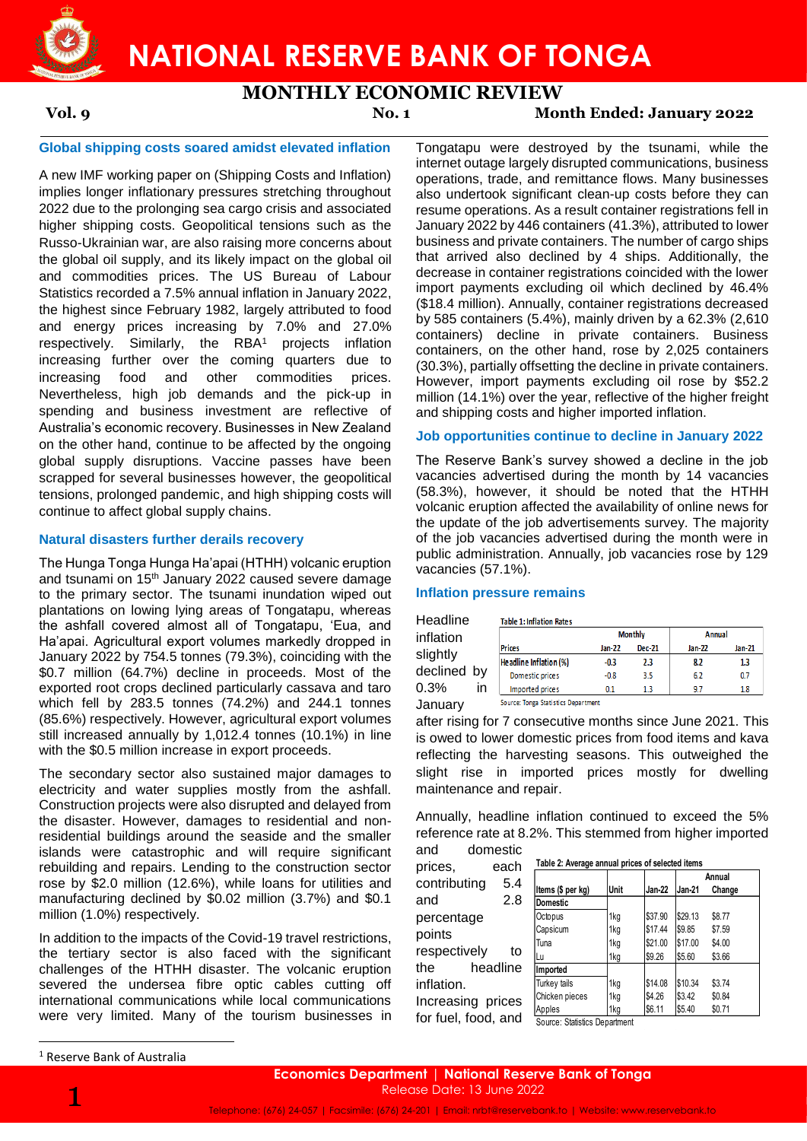

# **NATIONAL RESERVE BANK OF TONGA**

# **MONTHLY ECONOMIC REVIEW**

### **Vol. 9 No. 1 Month Ended: January 2022**

#### **Global shipping costs soared amidst elevated inflation**

A new IMF working paper on (Shipping Costs and Inflation) implies longer inflationary pressures stretching throughout 2022 due to the prolonging sea cargo crisis and associated higher shipping costs. Geopolitical tensions such as the Russo-Ukrainian war, are also raising more concerns about the global oil supply, and its likely impact on the global oil and commodities prices. The US Bureau of Labour Statistics recorded a 7.5% annual inflation in January 2022, the highest since February 1982, largely attributed to food and energy prices increasing by 7.0% and 27.0% respectively. Similarly, the RBA<sup>1</sup> projects inflation increasing further over the coming quarters due to increasing food and other commodities prices. Nevertheless, high job demands and the pick-up in spending and business investment are reflective of Australia's economic recovery. Businesses in New Zealand on the other hand, continue to be affected by the ongoing global supply disruptions. Vaccine passes have been scrapped for several businesses however, the geopolitical tensions, prolonged pandemic, and high shipping costs will continue to affect global supply chains.

#### **Natural disasters further derails recovery**

The Hunga Tonga Hunga Ha'apai (HTHH) volcanic eruption and tsunami on 15th January 2022 caused severe damage to the primary sector. The tsunami inundation wiped out plantations on lowing lying areas of Tongatapu, whereas the ashfall covered almost all of Tongatapu, 'Eua, and Ha'apai. Agricultural export volumes markedly dropped in January 2022 by 754.5 tonnes (79.3%), coinciding with the \$0.7 million (64.7%) decline in proceeds. Most of the exported root crops declined particularly cassava and taro which fell by 283.5 tonnes (74.2%) and 244.1 tonnes (85.6%) respectively. However, agricultural export volumes still increased annually by 1,012.4 tonnes (10.1%) in line with the \$0.5 million increase in export proceeds.

The secondary sector also sustained major damages to electricity and water supplies mostly from the ashfall. Construction projects were also disrupted and delayed from the disaster. However, damages to residential and nonresidential buildings around the seaside and the smaller islands were catastrophic and will require significant rebuilding and repairs. Lending to the construction sector rose by \$2.0 million (12.6%), while loans for utilities and manufacturing declined by \$0.02 million (3.7%) and \$0.1 million (1.0%) respectively.

In addition to the impacts of the Covid-19 travel restrictions, the tertiary sector is also faced with the significant challenges of the HTHH disaster. The volcanic eruption severed the undersea fibre optic cables cutting off international communications while local communications were very limited. Many of the tourism businesses in Tongatapu were destroyed by the tsunami, while the internet outage largely disrupted communications, business operations, trade, and remittance flows. Many businesses also undertook significant clean-up costs before they can resume operations. As a result container registrations fell in January 2022 by 446 containers (41.3%), attributed to lower business and private containers. The number of cargo ships that arrived also declined by 4 ships. Additionally, the decrease in container registrations coincided with the lower import payments excluding oil which declined by 46.4% (\$18.4 million). Annually, container registrations decreased by 585 containers (5.4%), mainly driven by a 62.3% (2,610 containers) decline in private containers. Business containers, on the other hand, rose by 2,025 containers (30.3%), partially offsetting the decline in private containers. However, import payments excluding oil rose by \$52.2 million (14.1%) over the year, reflective of the higher freight and shipping costs and higher imported inflation.

### **Job opportunities continue to decline in January 2022**

The Reserve Bank's survey showed a decline in the job vacancies advertised during the month by 14 vacancies (58.3%), however, it should be noted that the HTHH volcanic eruption affected the availability of online news for the update of the job advertisements survey. The majority of the job vacancies advertised during the month were in public administration. Annually, job vacancies rose by 129 vacancies (57.1%).

#### **Inflation pressure remains**

| Headline    |    | <b>Table 1: Inflation Rat</b> |
|-------------|----|-------------------------------|
| inflation   |    |                               |
|             |    | <b>Prices</b>                 |
| slightly    |    | Headline Inflation (%         |
| declined by |    |                               |
|             |    | Domestic prices               |
| 0.3%        | in | Imported prices               |
| January     |    | Source: Tonga Statistics      |

|                        |        | <b>Monthly</b> | Annual |        |  |
|------------------------|--------|----------------|--------|--------|--|
| <b>Prices</b>          | Jan-22 | <b>Dec-21</b>  | Jan-22 | Jan-21 |  |
| Headline Inflation (%) | $-0.3$ | 2.3            | 8.2    | 1.3    |  |
| Domestic prices        | $-0.8$ | 3.5            | 6.2    | 0.7    |  |
| Imported prices        | 0.1    | 13             | 9.7    | 1.8    |  |

after rising for 7 consecutive months since June 2021. This is owed to lower domestic prices from food items and kava reflecting the harvesting seasons. This outweighed the slight rise in imported prices mostly for dwelling maintenance and repair.

Annually, headline inflation continued to exceed the 5% reference rate at 8.2%. This stemmed from higher imported and domestic

**Table 2: Average annual prices of selected items**

prices, each contributing 5.4 and 2.8 percentage points respectively to the headline inflation. Increasing prices for fuel, food, and

| Items (\$ per kg) | Unit | Jan-22  | Jan-21  | Change |  |
|-------------------|------|---------|---------|--------|--|
| Domestic          |      |         |         |        |  |
| Octopus           | 1kg  | \$37.90 | \$29.13 | \$8.77 |  |
| Capsicum          | 1kg  | \$17.44 | \$9.85  | \$7.59 |  |
| Tuna              | 1kg  | \$21.00 | \$17.00 | \$4.00 |  |
| Lu                | 1kg  | \$9.26  | \$5.60  | \$3.66 |  |
| Imported          |      |         |         |        |  |
| Turkey tails      | 1kg  | \$14.08 | \$10.34 | \$3.74 |  |
| Chicken pieces    | 1kg  | \$4.26  | \$3.42  | \$0.84 |  |

┰

┱

**Annual** 

Apples | 1kg | \$6.11 | \$5.40 \$0.71

Source: Statistics Department



 $\overline{a}$ 

<sup>1</sup> Reserve Bank of Australia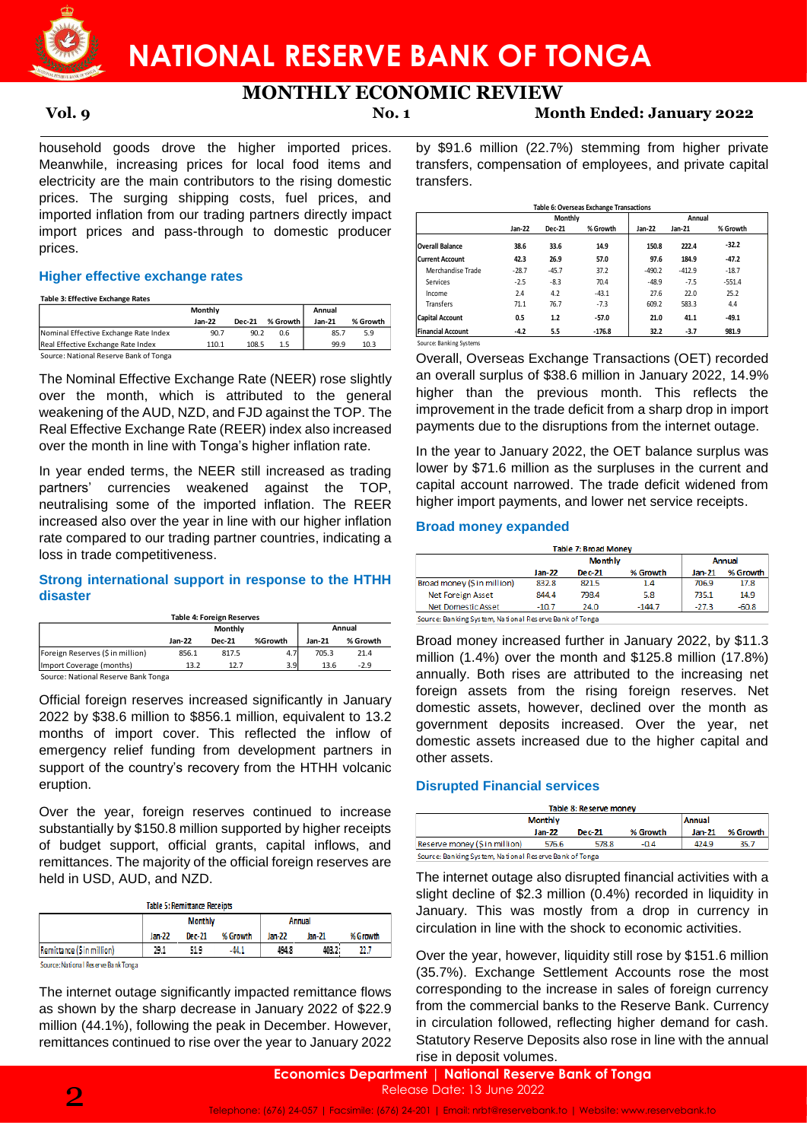

**MONTHLY ECONOMIC REVIEW**

**Vol. 9 No. 1 Month Ended: January 2022**

household goods drove the higher imported prices. Meanwhile, increasing prices for local food items and electricity are the main contributors to the rising domestic prices. The surging shipping costs, fuel prices, and imported inflation from our trading partners directly impact import prices and pass-through to domestic producer prices.

### **Higher effective exchange rates**

**Table 3: Effective Exchange Rates**

|                                        | <b>Monthly</b> |               |          | Annual   |          |
|----------------------------------------|----------------|---------------|----------|----------|----------|
|                                        | $Jan-22$       | <b>Dec-21</b> | % Growth | $Jan-21$ | % Growth |
| Nominal Effective Exchange Rate Index  | 90.7           | 90.2          | 0.6      | 85.7     | 5.9      |
| Real Effective Exchange Rate Index     | 110.1          | 108.5         | 1.5      | 99.9     | 10.3     |
| Source: National Reserve Bank of Tonga |                |               |          |          |          |

The Nominal Effective Exchange Rate (NEER) rose slightly over the month, which is attributed to the general weakening of the AUD, NZD, and FJD against the TOP. The Real Effective Exchange Rate (REER) index also increased over the month in line with Tonga's higher inflation rate.

In year ended terms, the NEER still increased as trading partners' currencies weakened against the TOP, neutralising some of the imported inflation. The REER increased also over the year in line with our higher inflation rate compared to our trading partner countries, indicating a loss in trade competitiveness.

### **Strong international support in response to the HTHH disaster**

|                                     |          | Table 4: Foreign Reserves |         |          |          |
|-------------------------------------|----------|---------------------------|---------|----------|----------|
|                                     | Monthly  |                           |         |          | Annual   |
|                                     | $Jan-22$ | <b>Dec-21</b>             | %Growth | $Jan-21$ | % Growth |
| Foreign Reserves (\$ in million)    | 856.1    | 817.5                     | 4.7     | 705.3    | 21.4     |
| Import Coverage (months)            | 13.2     | 12.7                      | 3.9     | 13.6     | $-2.9$   |
| Source: National Reserve Bank Tonga |          |                           |         |          |          |

Official foreign reserves increased significantly in January 2022 by \$38.6 million to \$856.1 million, equivalent to 13.2 months of import cover. This reflected the inflow of emergency relief funding from development partners in support of the country's recovery from the HTHH volcanic eruption.

Over the year, foreign reserves continued to increase substantially by \$150.8 million supported by higher receipts of budget support, official grants, capital inflows, and remittances. The majority of the official foreign reserves are held in USD, AUD, and NZD.

Table 5: Remittance Receipts

|                                                                                                                                                                                                                                |                | ------------------------------ |          |        |        |          |
|--------------------------------------------------------------------------------------------------------------------------------------------------------------------------------------------------------------------------------|----------------|--------------------------------|----------|--------|--------|----------|
|                                                                                                                                                                                                                                | <b>Monthly</b> |                                |          | Annual |        |          |
|                                                                                                                                                                                                                                | Jan-22         | <b>Dec-21</b>                  | % Growth | Jan-22 | Jan-21 | % Growth |
| Remittance (\$ in million)                                                                                                                                                                                                     | 29.1           | 51.9                           | $-44.1$  | 494.8  | 403.2. | 22.7     |
| Constitution of the Constitution of the constitution of the constitution of the constitution of the constitution of the constitution of the constitution of the constitution of the constitution of the constitution of the co |                |                                |          |        |        |          |

Source: National Reserve Bank Tonga

The internet outage significantly impacted remittance flows as shown by the sharp decrease in January 2022 of \$22.9 million (44.1%), following the peak in December. However, remittances continued to rise over the year to January 2022

by \$91.6 million (22.7%) stemming from higher private transfers, compensation of employees, and private capital transfers.

|                                                  | ny cosis, ruer prices, and                                                                                                                                                |                                                                                                                                                                                                                                                                                                                                                                                                                                                                                                |         |         | Table 6: Overseas Exchange Transactions |          |          |          |  |
|--------------------------------------------------|---------------------------------------------------------------------------------------------------------------------------------------------------------------------------|------------------------------------------------------------------------------------------------------------------------------------------------------------------------------------------------------------------------------------------------------------------------------------------------------------------------------------------------------------------------------------------------------------------------------------------------------------------------------------------------|---------|---------|-----------------------------------------|----------|----------|----------|--|
|                                                  | ading partners directly impact                                                                                                                                            |                                                                                                                                                                                                                                                                                                                                                                                                                                                                                                |         | Monthly |                                         |          | Annual   |          |  |
|                                                  | ough to domestic producer                                                                                                                                                 |                                                                                                                                                                                                                                                                                                                                                                                                                                                                                                | Jan-22  | Dec-21  | % Growth                                | Jan-22   | Jan-21   | % Growth |  |
|                                                  |                                                                                                                                                                           | <b>Overall Balance</b>                                                                                                                                                                                                                                                                                                                                                                                                                                                                         | 38.6    | 33.6    | 14.9                                    | 150.8    | 222.4    | $-32.2$  |  |
|                                                  |                                                                                                                                                                           | <b>Current Account</b>                                                                                                                                                                                                                                                                                                                                                                                                                                                                         | 42.3    | 26.9    | 57.0                                    | 97.6     | 184.9    | $-47.2$  |  |
| ates:                                            |                                                                                                                                                                           | Merchandise Trade                                                                                                                                                                                                                                                                                                                                                                                                                                                                              | $-28.7$ | $-45.7$ | 37.2                                    | $-490.2$ | $-412.9$ | $-18.7$  |  |
|                                                  |                                                                                                                                                                           | Services                                                                                                                                                                                                                                                                                                                                                                                                                                                                                       | $-2.5$  | $-8.3$  | 70.4                                    | $-48.9$  | $-7.5$   | $-551.4$ |  |
|                                                  |                                                                                                                                                                           | Income                                                                                                                                                                                                                                                                                                                                                                                                                                                                                         | 2.4     | 4.2     | $-43.1$                                 | 27.6     | 22.0     | 25.2     |  |
| ly.                                              | Annual                                                                                                                                                                    | <b>Transfers</b>                                                                                                                                                                                                                                                                                                                                                                                                                                                                               | 71.1    | 76.7    | $-7.3$                                  | 609.2    | 583.3    | 4.4      |  |
| % Growth<br><b>Dec-21</b>                        | Jan-21<br>% Growth                                                                                                                                                        | <b>Capital Account</b>                                                                                                                                                                                                                                                                                                                                                                                                                                                                         | 0.5     | 1.2     | $-57.0$                                 | 21.0     | 41.1     | $-49.1$  |  |
| 0.7<br>90.2<br>0.6                               | 85.7<br>5.9                                                                                                                                                               | <b>Financial Account</b>                                                                                                                                                                                                                                                                                                                                                                                                                                                                       | $-4.2$  | 5.5     | $-176.8$                                | 32.2     | -3.7     | 981.9    |  |
| 0.1<br>108.5<br>1.5                              | 10.3<br>99.9                                                                                                                                                              | Source: Banking Systems                                                                                                                                                                                                                                                                                                                                                                                                                                                                        |         |         |                                         |          |          |          |  |
| nga's higher inflation rate.<br>against<br>kened | nge Rate (NEER) rose slightly<br>attributed to the general<br>and FJD against the TOP. The<br>(REER) index also increased<br>ER still increased as trading<br>the<br>TOP. | Overall, Overseas Exchange Transactions (OET) recorded<br>an overall surplus of \$38.6 million in January 2022, 14.9%<br>higher than the previous month. This reflects the<br>improvement in the trade deficit from a sharp drop in import<br>payments due to the disruptions from the internet outage.<br>In the year to January 2022, the OET balance surplus was<br>lower by \$71.6 million as the surpluses in the current and<br>capital account narrowed. The trade deficit widened from |         |         |                                         |          |          |          |  |
|                                                  | ported inflation. The REER                                                                                                                                                | higher import payments, and lower net service receipts.                                                                                                                                                                                                                                                                                                                                                                                                                                        |         |         |                                         |          |          |          |  |
|                                                  | in line with our higher inflation<br>partner countries, indicating a                                                                                                      | <b>Broad money expanded</b>                                                                                                                                                                                                                                                                                                                                                                                                                                                                    |         |         |                                         |          |          |          |  |
|                                                  |                                                                                                                                                                           |                                                                                                                                                                                                                                                                                                                                                                                                                                                                                                |         |         | <b>Table 7: Broad Money</b>             |          |          |          |  |
|                                                  |                                                                                                                                                                           |                                                                                                                                                                                                                                                                                                                                                                                                                                                                                                |         |         | <b>Monthly</b>                          |          |          | Annual   |  |
|                                                  |                                                                                                                                                                           |                                                                                                                                                                                                                                                                                                                                                                                                                                                                                                |         | Jan-22  | Dec-21                                  | % Growth | Jan-21   | % Growth |  |
|                                                  | rt in response to the HTHH                                                                                                                                                | Broad money (Sin million)                                                                                                                                                                                                                                                                                                                                                                                                                                                                      |         | 832.8   | 821.5                                   | 1.4      | 706.9    | 17.8     |  |
|                                                  |                                                                                                                                                                           | Net Foreign Asset                                                                                                                                                                                                                                                                                                                                                                                                                                                                              |         | 844.4   | 798.4                                   | 5.8      | 735.1    | 14.9     |  |
|                                                  |                                                                                                                                                                           | Net Domestic Asset                                                                                                                                                                                                                                                                                                                                                                                                                                                                             |         | $-10.7$ | 24.0                                    | $-144.7$ | $-27.3$  | $-60.8$  |  |
| ign Reserves                                     |                                                                                                                                                                           | Source: Banking System, National Reserve Bank of Tonga                                                                                                                                                                                                                                                                                                                                                                                                                                         |         |         |                                         |          |          |          |  |
| Monthly                                          | Annual                                                                                                                                                                    |                                                                                                                                                                                                                                                                                                                                                                                                                                                                                                |         |         |                                         |          |          |          |  |

### **Broad money expanded**

| <b>Table 7: Broad Money</b> |                          |        |          |          |          |  |  |  |  |
|-----------------------------|--------------------------|--------|----------|----------|----------|--|--|--|--|
|                             | <b>Monthly</b><br>Annual |        |          |          |          |  |  |  |  |
|                             | Jan-22                   | Dec-21 | % Growth | $Jan-21$ | % Growth |  |  |  |  |
| Broad money (Sin million)   | 832.8                    | 821.5  | 1.4      | 706.9    | 17.8     |  |  |  |  |
| <b>Net Foreign Asset</b>    | 844.4                    | 798.4  | 5.8      | 735.1    | 14.9     |  |  |  |  |
| <b>Net Domestic Asset</b>   | $-10.7$                  | 24.0   | $-144.7$ | $-27.3$  | $-60.8$  |  |  |  |  |

Broad money increased further in January 2022, by \$11.3 million (1.4%) over the month and \$125.8 million (17.8%) annually. Both rises are attributed to the increasing net foreign assets from the rising foreign reserves. Net domestic assets, however, declined over the month as government deposits increased. Over the year, net domestic assets increased due to the higher capital and other assets.

### **Disrupted Financial services**

| Table 8: Reserve money                                 |                |        |          |               |          |  |  |  |  |  |
|--------------------------------------------------------|----------------|--------|----------|---------------|----------|--|--|--|--|--|
|                                                        | <b>Monthly</b> |        |          | <b>Annual</b> |          |  |  |  |  |  |
|                                                        | Jan-22         | Dec-21 | % Growth | $Jan-21$      | % Growth |  |  |  |  |  |
| Reserve money (Sin million)                            | 576.6          | 578.8  | $-0.4$   | 424.9         | 35.7     |  |  |  |  |  |
| Source: Banking System, National Reserve Bank of Tonga |                |        |          |               |          |  |  |  |  |  |

The internet outage also disrupted financial activities with a slight decline of \$2.3 million (0.4%) recorded in liquidity in January. This was mostly from a drop in currency in circulation in line with the shock to economic activities.

Over the year, however, liquidity still rose by \$151.6 million (35.7%). Exchange Settlement Accounts rose the most corresponding to the increase in sales of foreign currency from the commercial banks to the Reserve Bank. Currency in circulation followed, reflecting higher demand for cash. Statutory Reserve Deposits also rose in line with the annual rise in deposit volumes.